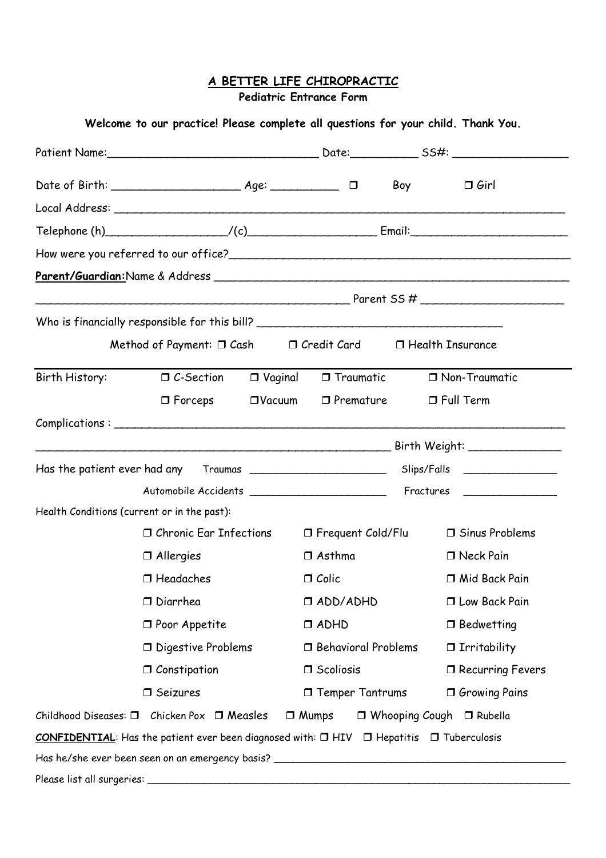## **A BETTER LIFE CHIROPRACTIC**

**Pediatric Entrance Form**

|                                                                                                                                                                                                                                                                                                                                                                                                                                                                                      |                |                             | Boy | $\Box$ Girl                          |  |
|--------------------------------------------------------------------------------------------------------------------------------------------------------------------------------------------------------------------------------------------------------------------------------------------------------------------------------------------------------------------------------------------------------------------------------------------------------------------------------------|----------------|-----------------------------|-----|--------------------------------------|--|
|                                                                                                                                                                                                                                                                                                                                                                                                                                                                                      |                |                             |     |                                      |  |
| Telephone $(h)$ (c) $\qquad \qquad$ $\qquad$ $\qquad$ $\qquad$ $\qquad$ $\qquad$ $\qquad$ $\qquad$ $\qquad$ $\qquad$ $\qquad$ $\qquad$ $\qquad$ $\qquad$ $\qquad$ $\qquad$ $\qquad$ $\qquad$ $\qquad$ $\qquad$ $\qquad$ $\qquad$ $\qquad$ $\qquad$ $\qquad$ $\qquad$ $\qquad$ $\qquad$ $\qquad$ $\qquad$ $\qquad$ $\qquad$ $\qquad$                                                                                                                                                  |                |                             |     |                                      |  |
|                                                                                                                                                                                                                                                                                                                                                                                                                                                                                      |                |                             |     |                                      |  |
|                                                                                                                                                                                                                                                                                                                                                                                                                                                                                      |                |                             |     |                                      |  |
|                                                                                                                                                                                                                                                                                                                                                                                                                                                                                      |                |                             |     |                                      |  |
|                                                                                                                                                                                                                                                                                                                                                                                                                                                                                      |                |                             |     |                                      |  |
| Method of Payment: $\Box$ Cash $\Box$ Credit Card $\Box$ Health Insurance                                                                                                                                                                                                                                                                                                                                                                                                            |                |                             |     |                                      |  |
| Birth History: $\Box$ C-Section                                                                                                                                                                                                                                                                                                                                                                                                                                                      | $\Box$ Vaginal | $\Box$ Traumatic            |     | □ Non-Traumatic                      |  |
| $\Box$ Forceps                                                                                                                                                                                                                                                                                                                                                                                                                                                                       | $\Box$ Vacuum  | $\Box$ Premature            |     | $\Box$ Full Term                     |  |
| $Complications: \begin{tabular}{@{}c@{}} \hline \multicolumn{3}{c}{} \multicolumn{3}{c}{} \multicolumn{3}{c}{} \multicolumn{3}{c}{} \multicolumn{3}{c}{} \multicolumn{3}{c}{} \multicolumn{3}{c}{} \multicolumn{3}{c}{} \multicolumn{3}{c}{} \multicolumn{3}{c}{} \multicolumn{3}{c}{} \multicolumn{3}{c}{} \multicolumn{3}{c}{} \multicolumn{3}{c}{} \multicolumn{3}{c}{} \multicolumn{3}{c}{} \multicolumn{3}{c}{} \multicolumn{3}{c}{} \multicolumn{3}{c}{} \multicolumn{3}{c}{}$ |                |                             |     |                                      |  |
|                                                                                                                                                                                                                                                                                                                                                                                                                                                                                      |                |                             |     |                                      |  |
|                                                                                                                                                                                                                                                                                                                                                                                                                                                                                      |                |                             |     |                                      |  |
|                                                                                                                                                                                                                                                                                                                                                                                                                                                                                      |                |                             |     |                                      |  |
| Health Conditions (current or in the past):                                                                                                                                                                                                                                                                                                                                                                                                                                          |                |                             |     |                                      |  |
| $\Box$ Chronic Ear Infections                                                                                                                                                                                                                                                                                                                                                                                                                                                        |                | $\square$ Frequent Cold/Flu |     | □ Sinus Problems                     |  |
| $\Box$ Allergies                                                                                                                                                                                                                                                                                                                                                                                                                                                                     |                | $\Box$ Asthma               |     | □ Neck Pain                          |  |
| $\Box$ Headaches                                                                                                                                                                                                                                                                                                                                                                                                                                                                     |                | $\Box$ Colic                |     | Mid Back Pain                        |  |
| $\square$ Diarrhea                                                                                                                                                                                                                                                                                                                                                                                                                                                                   |                | $\Box$ ADD/ADHD             |     | □ Low Back Pain                      |  |
| $\Box$ Poor Appetite                                                                                                                                                                                                                                                                                                                                                                                                                                                                 |                | $\Box$ ADHD                 |     | $\Box$ Bedwetting                    |  |
| $\Box$ Digestive Problems                                                                                                                                                                                                                                                                                                                                                                                                                                                            |                | <b>Behavioral Problems</b>  |     | $\Box$ Irritability                  |  |
| $\Box$ Constipation                                                                                                                                                                                                                                                                                                                                                                                                                                                                  |                | $\Box$ Scoliosis            |     | $\Box$ Recurring Fevers              |  |
| $\Box$ Seizures                                                                                                                                                                                                                                                                                                                                                                                                                                                                      |                | $\Box$ Temper Tantrums      |     | <b>O</b> Growing Pains               |  |
| Childhood Diseases: □ Chicken Pox □ Measles                                                                                                                                                                                                                                                                                                                                                                                                                                          |                | $\Box$ Mumps                |     | $\Box$ Whooping Cough $\Box$ Rubella |  |
| <b>CONFIDENTIAL:</b> Has the patient ever been diagnosed with: $\Box$ HIV $\Box$ Hepatitis $\Box$ Tuberculosis                                                                                                                                                                                                                                                                                                                                                                       |                |                             |     |                                      |  |
|                                                                                                                                                                                                                                                                                                                                                                                                                                                                                      |                |                             |     |                                      |  |
|                                                                                                                                                                                                                                                                                                                                                                                                                                                                                      |                |                             |     |                                      |  |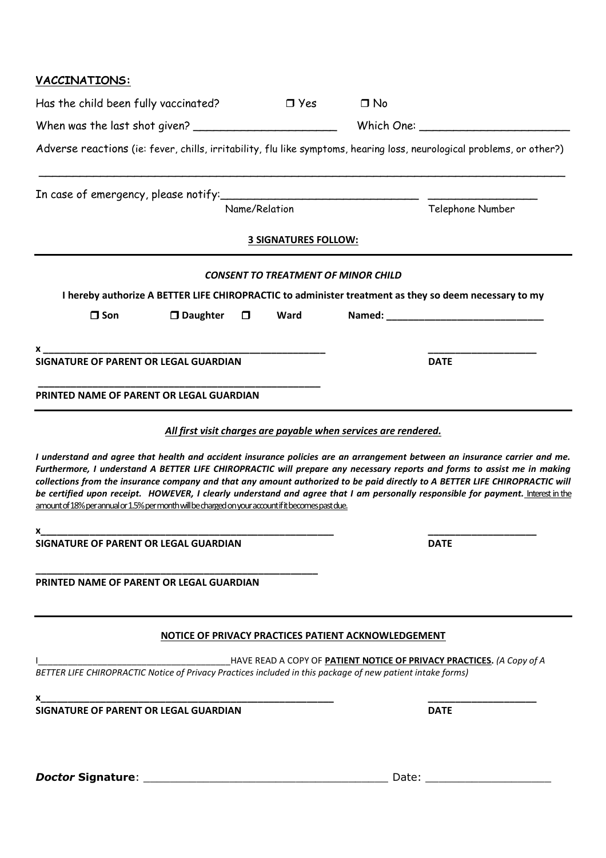### **VACCINATIONS:**

| Has the child been fully vaccinated?                                                               |                    |               | $\Box$ Yes                  | $\Box$ No                                                       |                                                                                                                                                                                                                                                                                                                                                                                                                                                                                                                            |  |  |
|----------------------------------------------------------------------------------------------------|--------------------|---------------|-----------------------------|-----------------------------------------------------------------|----------------------------------------------------------------------------------------------------------------------------------------------------------------------------------------------------------------------------------------------------------------------------------------------------------------------------------------------------------------------------------------------------------------------------------------------------------------------------------------------------------------------------|--|--|
|                                                                                                    |                    |               |                             |                                                                 |                                                                                                                                                                                                                                                                                                                                                                                                                                                                                                                            |  |  |
|                                                                                                    |                    |               |                             |                                                                 | Adverse reactions (ie: fever, chills, irritability, flu like symptoms, hearing loss, neurological problems, or other?)                                                                                                                                                                                                                                                                                                                                                                                                     |  |  |
|                                                                                                    |                    |               |                             |                                                                 |                                                                                                                                                                                                                                                                                                                                                                                                                                                                                                                            |  |  |
|                                                                                                    |                    | Name/Relation |                             |                                                                 | Telephone Number                                                                                                                                                                                                                                                                                                                                                                                                                                                                                                           |  |  |
|                                                                                                    |                    |               | <b>3 SIGNATURES FOLLOW:</b> |                                                                 |                                                                                                                                                                                                                                                                                                                                                                                                                                                                                                                            |  |  |
|                                                                                                    |                    |               |                             | <b>CONSENT TO TREATMENT OF MINOR CHILD</b>                      |                                                                                                                                                                                                                                                                                                                                                                                                                                                                                                                            |  |  |
|                                                                                                    |                    |               |                             |                                                                 | I hereby authorize A BETTER LIFE CHIROPRACTIC to administer treatment as they so deem necessary to my                                                                                                                                                                                                                                                                                                                                                                                                                      |  |  |
| $\square$ Son                                                                                      | $\square$ Daughter | $\Box$        | <b>Ward</b>                 |                                                                 |                                                                                                                                                                                                                                                                                                                                                                                                                                                                                                                            |  |  |
|                                                                                                    |                    |               |                             |                                                                 |                                                                                                                                                                                                                                                                                                                                                                                                                                                                                                                            |  |  |
|                                                                                                    |                    |               |                             |                                                                 | <b>DATE</b>                                                                                                                                                                                                                                                                                                                                                                                                                                                                                                                |  |  |
| PRINTED NAME OF PARENT OR LEGAL GUARDIAN                                                           |                    |               |                             |                                                                 |                                                                                                                                                                                                                                                                                                                                                                                                                                                                                                                            |  |  |
|                                                                                                    |                    |               |                             |                                                                 |                                                                                                                                                                                                                                                                                                                                                                                                                                                                                                                            |  |  |
|                                                                                                    |                    |               |                             | All first visit charges are payable when services are rendered. |                                                                                                                                                                                                                                                                                                                                                                                                                                                                                                                            |  |  |
| amount of 18% per annual or 1.5% per month will be charged on your account if it becomes past due. |                    |               |                             |                                                                 | I understand and agree that health and accident insurance policies are an arrangement between an insurance carrier and me.<br>Furthermore, I understand A BETTER LIFE CHIROPRACTIC will prepare any necessary reports and forms to assist me in making<br>collections from the insurance company and that any amount authorized to be paid directly to A BETTER LIFE CHIROPRACTIC will<br>be certified upon receipt. HOWEVER, I clearly understand and agree that I am personally responsible for payment. Interest in the |  |  |
| <b>SIGNATURE OF PARENT OR LEGAL GUARDIAN</b>                                                       |                    |               | <b>DATE</b>                 |                                                                 |                                                                                                                                                                                                                                                                                                                                                                                                                                                                                                                            |  |  |
| PRINTED NAME OF PARENT OR LEGAL GUARDIAN                                                           |                    |               |                             |                                                                 |                                                                                                                                                                                                                                                                                                                                                                                                                                                                                                                            |  |  |
|                                                                                                    |                    |               |                             | NOTICE OF PRIVACY PRACTICES PATIENT ACKNOWLEDGEMENT             |                                                                                                                                                                                                                                                                                                                                                                                                                                                                                                                            |  |  |
|                                                                                                    |                    |               |                             |                                                                 |                                                                                                                                                                                                                                                                                                                                                                                                                                                                                                                            |  |  |
|                                                                                                    |                    |               |                             |                                                                 |                                                                                                                                                                                                                                                                                                                                                                                                                                                                                                                            |  |  |
|                                                                                                    |                    |               |                             |                                                                 | <b>DATE</b>                                                                                                                                                                                                                                                                                                                                                                                                                                                                                                                |  |  |
|                                                                                                    |                    |               |                             |                                                                 |                                                                                                                                                                                                                                                                                                                                                                                                                                                                                                                            |  |  |
|                                                                                                    |                    |               |                             |                                                                 |                                                                                                                                                                                                                                                                                                                                                                                                                                                                                                                            |  |  |
|                                                                                                    |                    |               |                             |                                                                 | Date: the control of the control of the control of the control of the control of the control of the control of the control of the control of the control of the control of the control of the control of the control of the co                                                                                                                                                                                                                                                                                             |  |  |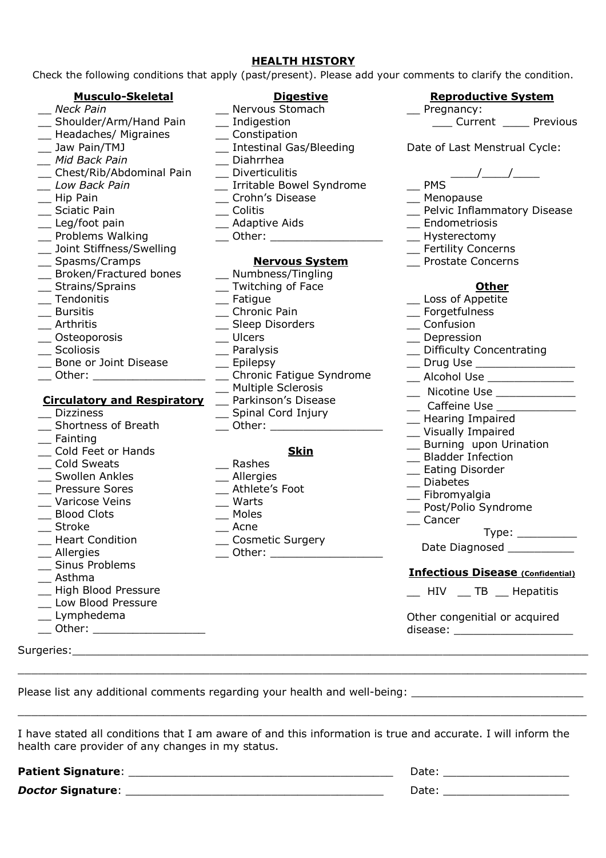#### **HEALTH HISTORY**

Check the following conditions that apply (past/present). Please add your comments to clarify the condition.

| <b>Musculo-Skeletal</b>            | <b>Digestive</b>                                    | <b>Reproductive System</b>                                                 |  |  |
|------------------------------------|-----------------------------------------------------|----------------------------------------------------------------------------|--|--|
| Neck Pain                          | Nervous Stomach                                     | $\equiv$ Pregnancy:                                                        |  |  |
| _ Shoulder/Arm/Hand Pain           | __ Indigestion                                      | Current _____ Previous                                                     |  |  |
| _ Headaches/ Migraines             | $\equiv$ Constipation                               |                                                                            |  |  |
| __ Jaw Pain/TMJ                    | _ Intestinal Gas/Bleeding                           | Date of Last Menstrual Cycle:                                              |  |  |
| _ Mid Back Pain                    | Diahrrhea                                           |                                                                            |  |  |
| __ Chest/Rib/Abdominal Pain        | _ Diverticulitis                                    |                                                                            |  |  |
| _ Low Back Pain                    | _ Irritable Bowel Syndrome                          | $-$ PMS                                                                    |  |  |
| $\equiv$ Hip Pain                  | _ Crohn's Disease                                   | _ Menopause                                                                |  |  |
| _ Sciatic Pain                     | $\equiv$ Colitis                                    | Pelvic Inflammatory Disease                                                |  |  |
| _ Leg/foot pain                    | __ Adaptive Aids                                    | __ Endometriosis                                                           |  |  |
| _ Problems Walking                 | __ Other: ____________________                      | __ Hysterectomy                                                            |  |  |
| _ Joint Stiffness/Swelling         |                                                     | _ Fertility Concerns                                                       |  |  |
| __ Spasms/Cramps                   | <b>Nervous System</b>                               | _ Prostate Concerns                                                        |  |  |
| _ Broken/Fractured bones           | _ Numbness/Tingling                                 |                                                                            |  |  |
|                                    |                                                     |                                                                            |  |  |
| _ Strains/Sprains                  | _ Twitching of Face                                 | <b>Other</b>                                                               |  |  |
| _ Tendonitis                       | $\equiv$ Fatigue                                    | _ Loss of Appetite                                                         |  |  |
| _ Bursitis                         | _ Chronic Pain                                      | _ Forgetfulness                                                            |  |  |
| Arthritis                          | _ Sleep Disorders                                   | __ Confusion                                                               |  |  |
| Osteoporosis                       | $\equiv$ Ulcers                                     | _ Depression                                                               |  |  |
| Scoliosis                          | $\equiv$ Paralysis                                  | _ Difficulty Concentrating                                                 |  |  |
| Bone or Joint Disease              | __ Drug Use __________________<br>$\equiv$ Epilepsy |                                                                            |  |  |
| ___ Other: _____________________   | _ Chronic Fatigue Syndrome                          | __ Alcohol Use _______________                                             |  |  |
|                                    | _ Multiple Sclerosis                                | __ Nicotine Use _____________                                              |  |  |
| <b>Circulatory and Respiratory</b> | _ Parkinson's Disease                               | __ Caffeine Use _____________<br>_ Hearing Impaired<br>_ Visually Impaired |  |  |
| <b>Dizziness</b>                   | _ Spinal Cord Injury                                |                                                                            |  |  |
| Shortness of Breath                | ___ Other: _____________________                    |                                                                            |  |  |
| __ Fainting                        |                                                     | _ Burning upon Urination                                                   |  |  |
| Cold Feet or Hands                 | <b>Skin</b>                                         | _ Bladder Infection                                                        |  |  |
| Cold Sweats                        | Rashes                                              | _ Eating Disorder                                                          |  |  |
| Swollen Ankles                     | _ Allergies                                         | _ Diabetes                                                                 |  |  |
| Pressure Sores                     | _ Athlete's Foot                                    |                                                                            |  |  |
| Varicose Veins                     | $\equiv$ Warts                                      | _ Fibromyalgia                                                             |  |  |
| <b>Blood Clots</b>                 | __ Moles                                            | _ Post/Polio Syndrome                                                      |  |  |
| <b>Stroke</b>                      | Acne                                                | $\equiv$ Cancer                                                            |  |  |
| <b>Heart Condition</b>             | _ Cosmetic Surgery                                  | $Type: \_\_$                                                               |  |  |
| __ Allergies                       | __ Other: ___________________                       | Date Diagnosed ___________                                                 |  |  |
| _ Sinus Problems                   |                                                     |                                                                            |  |  |
| Asthma                             |                                                     | <b>Infectious Disease (Confidential)</b>                                   |  |  |
| _ High Blood Pressure              |                                                     | __ HIV __ TB __ Hepatitis                                                  |  |  |
| _ Low Blood Pressure               |                                                     |                                                                            |  |  |
| __ Lymphedema                      |                                                     |                                                                            |  |  |
|                                    |                                                     | Other congenitial or acquired                                              |  |  |
| __ Other: __________________       |                                                     | disease: _______________________                                           |  |  |
|                                    |                                                     |                                                                            |  |  |
|                                    |                                                     |                                                                            |  |  |

I have stated all conditions that I am aware of and this information is true and accurate. I will inform the health care provider of any changes in my status.

 $\_$  , and the set of the set of the set of the set of the set of the set of the set of the set of the set of the set of the set of the set of the set of the set of the set of the set of the set of the set of the set of th

**Patient Signature**: \_\_\_\_\_\_\_\_\_\_\_\_\_\_\_\_\_\_\_\_\_\_\_\_\_\_\_\_\_\_\_\_\_\_\_\_\_\_\_\_ Date: \_\_\_\_\_\_\_\_\_\_\_\_\_\_\_\_\_\_\_

*Doctor* **Signature**: \_\_\_\_\_\_\_\_\_\_\_\_\_\_\_\_\_\_\_\_\_\_\_\_\_\_\_\_\_\_\_\_\_\_\_\_\_\_\_ Date: \_\_\_\_\_\_\_\_\_\_\_\_\_\_\_\_\_\_\_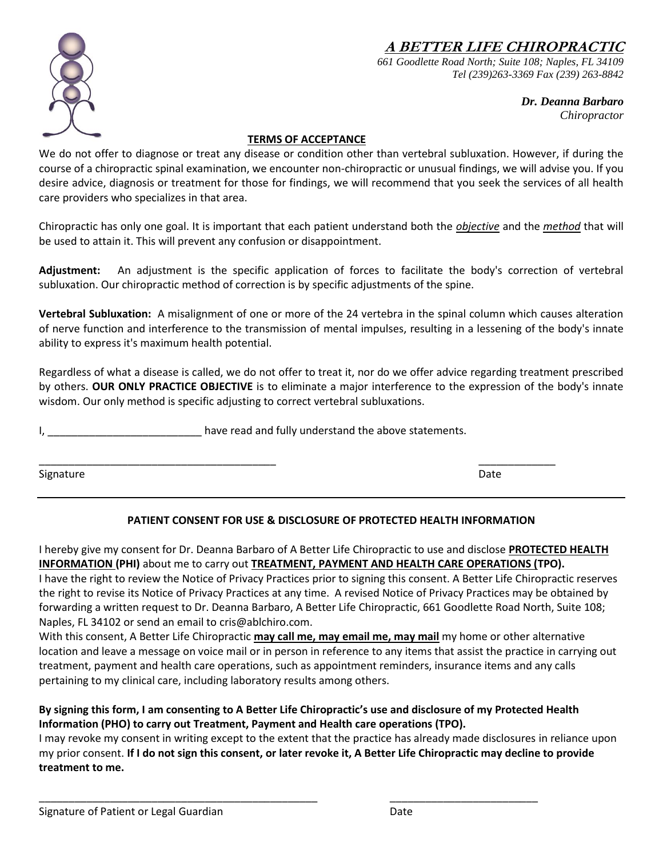**A BETTER LIFE CHIROPRACTIC**



*661 Goodlette Road North; Suite 108; Naples, FL 34109 Tel (239)263-3369 Fax (239) 263-8842*

> *Dr. Deanna Barbaro Chiropractor*

#### **TERMS OF ACCEPTANCE**

We do not offer to diagnose or treat any disease or condition other than vertebral subluxation. However, if during the course of a chiropractic spinal examination, we encounter non-chiropractic or unusual findings, we will advise you. If you desire advice, diagnosis or treatment for those for findings, we will recommend that you seek the services of all health care providers who specializes in that area.

Chiropractic has only one goal. It is important that each patient understand both the *objective* and the *method* that will be used to attain it. This will prevent any confusion or disappointment.

**Adjustment:** An adjustment is the specific application of forces to facilitate the body's correction of vertebral subluxation. Our chiropractic method of correction is by specific adjustments of the spine.

**Vertebral Subluxation:** A misalignment of one or more of the 24 vertebra in the spinal column which causes alteration of nerve function and interference to the transmission of mental impulses, resulting in a lessening of the body's innate ability to express it's maximum health potential.

Regardless of what a disease is called, we do not offer to treat it, nor do we offer advice regarding treatment prescribed by others. **OUR ONLY PRACTICE OBJECTIVE** is to eliminate a major interference to the expression of the body's innate wisdom. Our only method is specific adjusting to correct vertebral subluxations.

have read and fully understand the above statements.

Signature **Date** 

\_\_\_\_\_\_\_\_\_\_\_\_\_\_\_\_\_\_\_\_\_\_\_\_\_\_\_\_\_\_\_\_\_\_\_\_\_\_\_\_ \_\_\_\_\_\_\_\_\_\_\_\_\_

#### **PATIENT CONSENT FOR USE & DISCLOSURE OF PROTECTED HEALTH INFORMATION**

I hereby give my consent for Dr. Deanna Barbaro of A Better Life Chiropractic to use and disclose **PROTECTED HEALTH INFORMATION (PHI)** about me to carry out **TREATMENT, PAYMENT AND HEALTH CARE OPERATIONS (TPO).**

I have the right to review the Notice of Privacy Practices prior to signing this consent. A Better Life Chiropractic reserves the right to revise its Notice of Privacy Practices at any time. A revised Notice of Privacy Practices may be obtained by forwarding a written request to Dr. Deanna Barbaro, A Better Life Chiropractic, 661 Goodlette Road North, Suite 108; Naples, FL 34102 or send an email t[o cris@ablchiro.com.](mailto:cris@ablchiro.com)

With this consent, A Better Life Chiropractic **may call me, may email me, may mail** my home or other alternative location and leave a message on voice mail or in person in reference to any items that assist the practice in carrying out treatment, payment and health care operations, such as appointment reminders, insurance items and any calls pertaining to my clinical care, including laboratory results among others.

#### **By signing this form, I am consenting to A Better Life Chiropractic's use and disclosure of my Protected Health Information (PHO) to carry out Treatment, Payment and Health care operations (TPO).**

\_\_\_\_\_\_\_\_\_\_\_\_\_\_\_\_\_\_\_\_\_\_\_\_\_\_\_\_\_\_\_\_\_\_\_\_\_\_\_\_\_\_\_\_\_\_\_ \_\_\_\_\_\_\_\_\_\_\_\_\_\_\_\_\_\_\_\_\_\_\_\_\_

I may revoke my consent in writing except to the extent that the practice has already made disclosures in reliance upon my prior consent. **If I do not sign this consent, or later revoke it, A Better Life Chiropractic may decline to provide treatment to me.**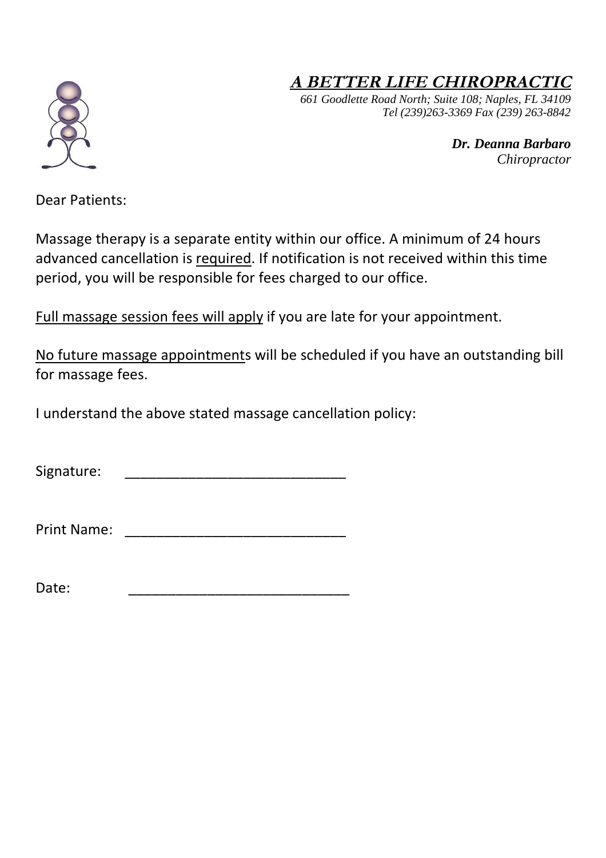# **<sup>A</sup> BETTER LIFE CHIROPRACTIC**

*661 Goodlette Road North; Suite 108; Naples, FL 34109 Tel (239)263-3369 Fax (239) 263-8842*

> *Dr. Deanna Barbaro Chiropractor*

Dear Patients:

Massage therapy is a separate entity within our office. A minimum of 24 hours advanced cancellation is required. If notification is not received within this time period, you will be responsible for fees charged to our office.

Full massage session fees will apply if you are late for your appointment.

No future massage appointments will be scheduled if you have an outstanding bill for massage fees.

I understand the above stated massage cancellation policy:

Signature:  $\Box$ 

Print Name: \_\_\_\_\_\_\_\_\_\_\_\_\_\_\_\_\_\_\_\_\_\_\_\_\_\_\_\_

Date: \_\_\_\_\_\_\_\_\_\_\_\_\_\_\_\_\_\_\_\_\_\_\_\_\_\_\_\_